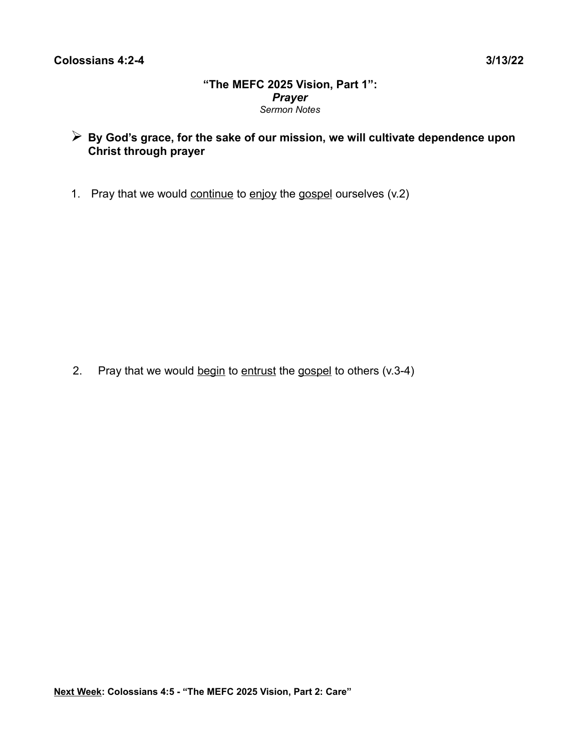## **"The MEFC 2025 Vision, Part 1":** *Prayer Sermon Notes*

- ➢ **By God's grace, for the sake of our mission, we will cultivate dependence upon Christ through prayer**
- 1. Pray that we would continue to enjoy the gospel ourselves (v.2)

2. Pray that we would begin to entrust the gospel to others  $(v.3-4)$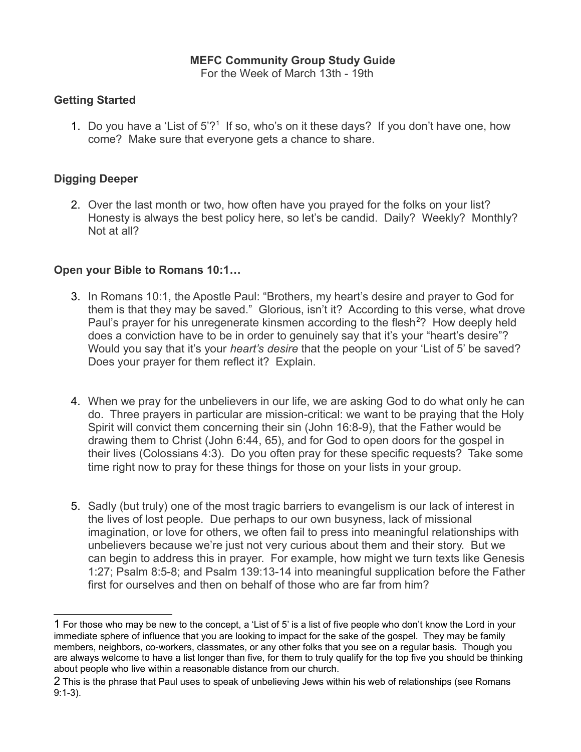# **MEFC Community Group Study Guide**

For the Week of March 13th - 19th

## **Getting Started**

[1](#page-1-0). Do you have a 'List of 5'?<sup>1</sup> If so, who's on it these days? If you don't have one, how come? Make sure that everyone gets a chance to share.

## **Digging Deeper**

2. Over the last month or two, how often have you prayed for the folks on your list? Honesty is always the best policy here, so let's be candid. Daily? Weekly? Monthly? Not at all?

# **Open your Bible to Romans 10:1…**

- 3. In Romans 10:1, the Apostle Paul: "Brothers, my heart's desire and prayer to God for them is that they may be saved." Glorious, isn't it? According to this verse, what drove Paul's prayer for his unregenerate kinsmen according to the flesh<sup>[2](#page-1-1)</sup>? How deeply held does a conviction have to be in order to genuinely say that it's your "heart's desire"? Would you say that it's your *heart's desire* that the people on your 'List of 5' be saved? Does your prayer for them reflect it? Explain.
- 4. When we pray for the unbelievers in our life, we are asking God to do what only he can do. Three prayers in particular are mission-critical: we want to be praying that the Holy Spirit will convict them concerning their sin (John 16:8-9), that the Father would be drawing them to Christ (John 6:44, 65), and for God to open doors for the gospel in their lives (Colossians 4:3). Do you often pray for these specific requests? Take some time right now to pray for these things for those on your lists in your group.
- 5. Sadly (but truly) one of the most tragic barriers to evangelism is our lack of interest in the lives of lost people. Due perhaps to our own busyness, lack of missional imagination, or love for others, we often fail to press into meaningful relationships with unbelievers because we're just not very curious about them and their story. But we can begin to address this in prayer. For example, how might we turn texts like Genesis 1:27; Psalm 8:5-8; and Psalm 139:13-14 into meaningful supplication before the Father first for ourselves and then on behalf of those who are far from him?

<span id="page-1-0"></span><sup>1</sup> For those who may be new to the concept, a 'List of 5' is a list of five people who don't know the Lord in your immediate sphere of influence that you are looking to impact for the sake of the gospel. They may be family members, neighbors, co-workers, classmates, or any other folks that you see on a regular basis. Though you are always welcome to have a list longer than five, for them to truly qualify for the top five you should be thinking about people who live within a reasonable distance from our church.

<span id="page-1-1"></span><sup>2</sup> This is the phrase that Paul uses to speak of unbelieving Jews within his web of relationships (see Romans 9:1-3).